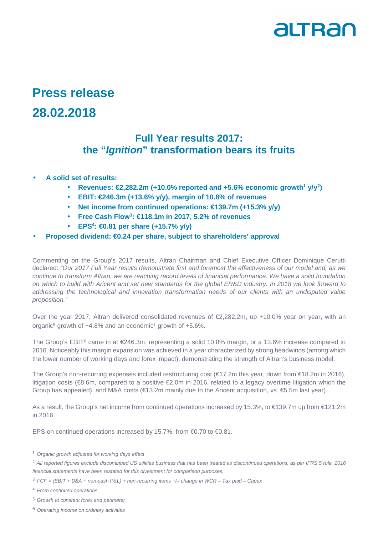

## **Press release 28.02.2018**

## **Full Year results 2017: the "Ignition" transformation bears its fruits**

- **A solid set of results:** 
	- **Revenues: €2,282.2m (+10.0% reported and +5.6% economic growth<sup>1</sup> y/y<sup>2</sup> )**
	- **EBIT: €246.3m (+13.6% y/y), margin of 10.8% of revenues**
	- **Net income from continued operations: €139.7m (+15.3% y/y)**
	- **Free Cash Flow<sup>3</sup> : €118.1m in 2017, 5.2% of revenues**
	- **EPS<sup>4</sup> : €0.81 per share (+15.7% y/y)**
- **Proposed dividend: €0.24 per share, subject to shareholders' approval**

Commenting on the Group's 2017 results, Altran Chairman and Chief Executive Officer Dominique Cerutti declared: "Our 2017 Full Year results demonstrate first and foremost the effectiveness of our model and, as we continue to transform Altran, we are reaching record levels of financial performance. We have a solid foundation on which to build with Aricent and set new standards for the global ER&D industry. In 2018 we look forward to addressing the technological and innovation transformation needs of our clients with an undisputed value proposition."

Over the year 2017, Altran delivered consolidated revenues of €2,282.2m, up +10.0% year on year, with an organic<sup>5</sup> growth of +4.8% and an economic<sup>1</sup> growth of +5.6%.

The Group's EBIT<sup>6</sup> came in at €246.3m, representing a solid 10.8% margin, or a 13.6% increase compared to 2016. Noticeably this margin expansion was achieved in a year characterized by strong headwinds (among which the lower number of working days and forex impact), demonstrating the strength of Altran's business model.

The Group's non-recurring expenses included restructuring cost (€17.2m this year, down from €18.2m in 2016), litigation costs (€8.6m, compared to a positive €2.0m in 2016, related to a legacy overtime litigation which the Group has appealed), and M&A costs (€13.2m mainly due to the Aricent acquisition, vs. €5.5m last year).

As a result, the Group's net income from continued operations increased by 15.3%, to €139.7m up from €121.2m in 2016.

EPS on continued operations increased by 15.7%, from €0.70 to €0.81.

L

<sup>&</sup>lt;sup>1</sup> Organic growth adjusted for working days effect

<sup>&</sup>lt;sup>2</sup> All reported figures exclude discontinued US utilities business that has been treated as discontinued operations, as per IFRS 5 rule. 2016 financial statements have been restated for this divestment for comparison purposes.

 $3$  FCF = (EBIT + D&A + non-cash P&L) + non-recurring items  $+/-$  change in WCR - Tax paid - Capex

<sup>4</sup> From continued operations

<sup>5</sup> Growth at constant forex and perimeter

<sup>6</sup> Operating income on ordinary activities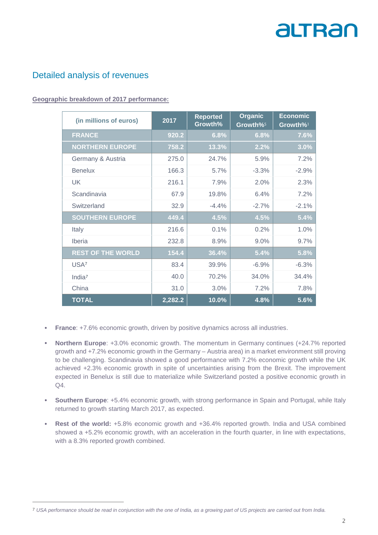## Detailed analysis of revenues

L

#### **Geographic breakdown of 2017 performance:**

| (in millions of euros)   | 2017    | <b>Reported</b><br>Growth% | Organic<br>Growth% <sup>5</sup> | <b>Economic</b><br>Growth%1 |
|--------------------------|---------|----------------------------|---------------------------------|-----------------------------|
| <b>FRANCE</b>            | 920.2   | 6.8%                       | 6.8%                            | 7.6%                        |
| <b>NORTHERN EUROPE</b>   | 758.2   | 13.3%                      | 2.2%                            | 3.0%                        |
| Germany & Austria        | 275.0   | 24.7%                      | 5.9%                            | 7.2%                        |
| <b>Benelux</b>           | 166.3   | 5.7%                       | $-3.3%$                         | $-2.9%$                     |
| <b>UK</b>                | 216.1   | 7.9%                       | 2.0%                            | 2.3%                        |
| Scandinavia              | 67.9    | 19.8%                      | 6.4%                            | 7.2%                        |
| Switzerland              | 32.9    | $-4.4%$                    | $-2.7%$                         | $-2.1%$                     |
| <b>SOUTHERN EUROPE</b>   | 449.4   | 4.5%                       | 4.5%                            | 5.4%                        |
| Italy                    | 216.6   | 0.1%                       | 0.2%                            | 1.0%                        |
| Iberia                   | 232.8   | 8.9%                       | 9.0%                            | 9.7%                        |
| <b>REST OF THE WORLD</b> | 154.4   | 36.4%                      | 5.4%                            | 5.8%                        |
| USA <sup>7</sup>         | 83.4    | 39.9%                      | $-6.9%$                         | $-6.3%$                     |
| India <sup>7</sup>       | 40.0    | 70.2%                      | 34.0%                           | 34.4%                       |
| China                    | 31.0    | 3.0%                       | 7.2%                            | 7.8%                        |
| <b>TOTAL</b>             | 2,282.2 | 10.0%                      | 4.8%                            | 5.6%                        |

- **France:** +7.6% economic growth, driven by positive dynamics across all industries.
- **Northern Europe**: +3.0% economic growth. The momentum in Germany continues (+24.7% reported growth and +7.2% economic growth in the Germany – Austria area) in a market environment still proving to be challenging. Scandinavia showed a good performance with 7.2% economic growth while the UK achieved +2.3% economic growth in spite of uncertainties arising from the Brexit. The improvement expected in Benelux is still due to materialize while Switzerland posted a positive economic growth in Q4.
- • **Southern Europe**: +5.4% economic growth, with strong performance in Spain and Portugal, while Italy returned to growth starting March 2017, as expected.
- • **Rest of the world:** +5.8% economic growth and +36.4% reported growth. India and USA combined showed a +5.2% economic growth, with an acceleration in the fourth quarter, in line with expectations, with a 8.3% reported growth combined.

<sup>&</sup>lt;sup>7</sup> USA performance should be read in conjunction with the one of India, as a growing part of US projects are carried out from India.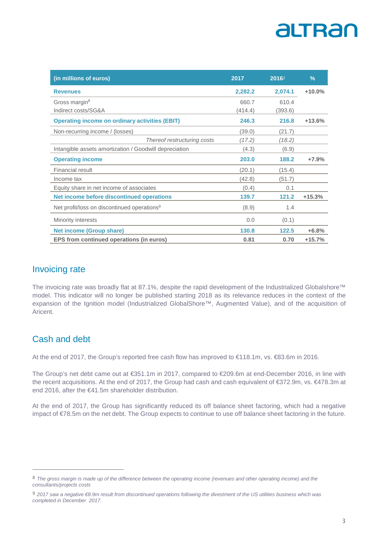| (in millions of euros)                                  | 2017    | 20162   | $\frac{9}{6}$ |
|---------------------------------------------------------|---------|---------|---------------|
| <b>Revenues</b>                                         | 2,282.2 | 2,074.1 | $+10.0%$      |
| Gross margin <sup>8</sup>                               | 660.7   | 610.4   |               |
| Indirect costs/SG&A                                     | (414.4) | (393.6) |               |
| <b>Operating income on ordinary activities (EBIT)</b>   | 246.3   | 216.8   | $+13.6%$      |
| Non-recurring income / (losses)                         | (39.0)  | (21.7)  |               |
| Thereof restructuring costs                             | (17.2)  | (18.2)  |               |
| Intangible assets amortization / Goodwill depreciation  | (4.3)   | (6.9)   |               |
| <b>Operating income</b>                                 | 203.0   | 188.2   | $+7.9%$       |
| Financial result                                        | (20.1)  | (15.4)  |               |
| Income tax                                              | (42.8)  | (51.7)  |               |
| Equity share in net income of associates                | (0.4)   | 0.1     |               |
| Net income before discontinued operations               | 139.7   | 121.2   | $+15.3%$      |
| Net profit/loss on discontinued operations <sup>9</sup> | (8.9)   | 1.4     |               |
| Minority interests                                      | 0.0     | (0.1)   |               |
| <b>Net income (Group share)</b>                         | 130.8   | 122.5   | $+6.8%$       |
| EPS from continued operations (in euros)                | 0.81    | 0.70    | $+15.7%$      |

## Invoicing rate

The invoicing rate was broadly flat at 87.1%, despite the rapid development of the Industrialized Globalshore™ model. This indicator will no longer be published starting 2018 as its relevance reduces in the context of the expansion of the Ignition model (Industrialized GlobalShore™, Augmented Value), and of the acquisition of Aricent.

## Cash and debt

L

At the end of 2017, the Group's reported free cash flow has improved to €118.1m, vs. €83.6m in 2016.

The Group's net debt came out at €351.1m in 2017, compared to €209.6m at end-December 2016, in line with the recent acquisitions. At the end of 2017, the Group had cash and cash equivalent of €372.9m, vs. €478.3m at end 2016, after the €41.5m shareholder distribution.

At the end of 2017, the Group has significantly reduced its off balance sheet factoring, which had a negative impact of €78.5m on the net debt. The Group expects to continue to use off balance sheet factoring in the future.

<sup>&</sup>lt;sup>8</sup> The gross margin is made up of the difference between the operating income (revenues and other operating income) and the consultants/projects costs

<sup>9 2017</sup> saw a negative €8.9m result from discontinued operations following the divestment of the US utilities business which was completed in December 2017.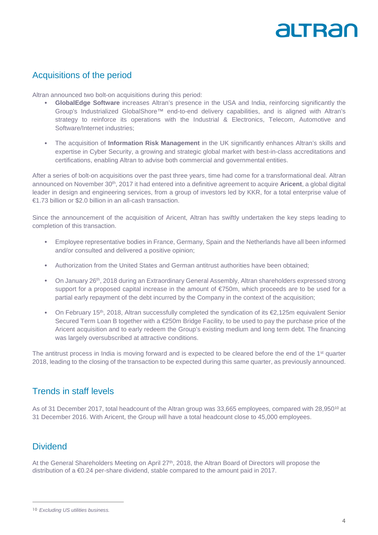## Acquisitions of the period

Altran announced two bolt-on acquisitions during this period:

- • **GlobalEdge Software** increases Altran's presence in the USA and India, reinforcing significantly the Group's Industrialized GlobalShore™ end-to-end delivery capabilities, and is aligned with Altran's strategy to reinforce its operations with the Industrial & Electronics, Telecom, Automotive and Software/Internet industries;
- The acquisition of **Information Risk Management** in the UK significantly enhances Altran's skills and expertise in Cyber Security, a growing and strategic global market with best-in-class accreditations and certifications, enabling Altran to advise both commercial and governmental entities.

After a series of bolt-on acquisitions over the past three years, time had come for a transformational deal. Altran announced on November 30th, 2017 it had entered into a definitive agreement to acquire **Aricent**, a global digital leader in design and engineering services, from a group of investors led by KKR, for a total enterprise value of €1.73 billion or \$2.0 billion in an all-cash transaction.

Since the announcement of the acquisition of Aricent, Altran has swiftly undertaken the key steps leading to completion of this transaction.

- Employee representative bodies in France, Germany, Spain and the Netherlands have all been informed and/or consulted and delivered a positive opinion;
- Authorization from the United States and German antitrust authorities have been obtained;
- On January 26<sup>th</sup>, 2018 during an Extraordinary General Assembly, Altran shareholders expressed strong support for a proposed capital increase in the amount of €750m, which proceeds are to be used for a partial early repayment of the debt incurred by the Company in the context of the acquisition;
- On February 15th, 2018, Altran successfully completed the syndication of its €2,125m equivalent Senior Secured Term Loan B together with a €250m Bridge Facility, to be used to pay the purchase price of the Aricent acquisition and to early redeem the Group's existing medium and long term debt. The financing was largely oversubscribed at attractive conditions.

The antitrust process in India is moving forward and is expected to be cleared before the end of the 1<sup>st</sup> quarter 2018, leading to the closing of the transaction to be expected during this same quarter, as previously announced.

#### Trends in staff levels

As of 31 December 2017, total headcount of the Altran group was 33,665 employees, compared with 28,950<sup>10</sup> at 31 December 2016. With Aricent, the Group will have a total headcount close to 45,000 employees.

### **Dividend**

L

At the General Shareholders Meeting on April 27<sup>th</sup>, 2018, the Altran Board of Directors will propose the distribution of a €0.24 per-share dividend, stable compared to the amount paid in 2017.

<sup>&</sup>lt;sup>10</sup> Excluding US utilities business.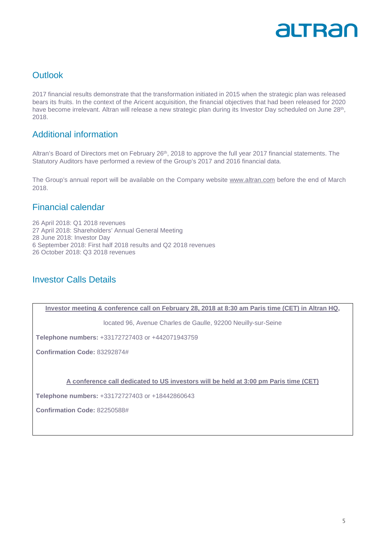

## **Outlook**

2017 financial results demonstrate that the transformation initiated in 2015 when the strategic plan was released bears its fruits. In the context of the Aricent acquisition, the financial objectives that had been released for 2020 have become irrelevant. Altran will release a new strategic plan during its Investor Day scheduled on June 28<sup>th</sup>, 2018.

### Additional information

Altran's Board of Directors met on February 26<sup>th</sup>, 2018 to approve the full year 2017 financial statements. The Statutory Auditors have performed a review of the Group's 2017 and 2016 financial data.

The Group's annual report will be available on the Company website www.altran.com before the end of March 2018.

### Financial calendar

26 April 2018: Q1 2018 revenues 27 April 2018: Shareholders' Annual General Meeting 28 June 2018: Investor Day 6 September 2018: First half 2018 results and Q2 2018 revenues 26 October 2018: Q3 2018 revenues

### Investor Calls Details

**Investor meeting & conference call on February 28, 2018 at 8:30 am Paris time (CET) in Altran HQ,** 

located 96, Avenue Charles de Gaulle, 92200 Neuilly-sur-Seine

**Telephone numbers:** +33172727403 or +442071943759

**Confirmation Code:** 83292874#

**A conference call dedicated to US investors will be held at 3:00 pm Paris time (CET)** 

**Telephone numbers:** +33172727403 or +18442860643

**Confirmation Code:** 82250588#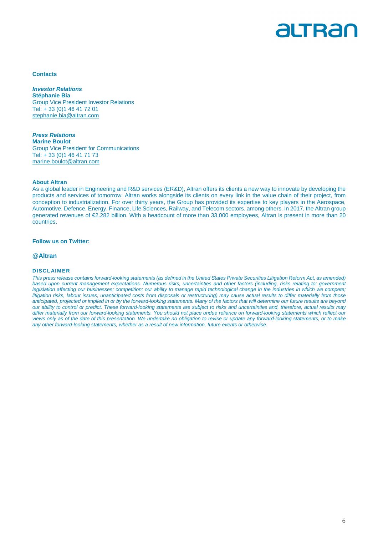

#### **Contacts**

**Investor Relations Stéphanie Bia**  Group Vice President Investor Relations Tel: + 33 (0)1 46 41 72 01 stephanie.bia@altran.com

**Press Relations Marine Boulot**  Group Vice President for Communications Tel: + 33 (0)1 46 41 71 73 marine.boulot@altran.com

#### **About Altran**

As a global leader in Engineering and R&D services (ER&D), Altran offers its clients a new way to innovate by developing the products and services of tomorrow. Altran works alongside its clients on every link in the value chain of their project, from conception to industrialization. For over thirty years, the Group has provided its expertise to key players in the Aerospace, Automotive, Defence, Energy, Finance, Life Sciences, Railway, and Telecom sectors, among others. In 2017, the Altran group generated revenues of €2.282 billion. With a headcount of more than 33,000 employees, Altran is present in more than 20 countries.

#### **Follow us on Twitter:**

#### **@Altran**

#### **DISCL AIMER**

This press release contains forward-looking statements (as defined in the United States Private Securities Litigation Reform Act, as amended) based upon current management expectations. Numerous risks, uncertainties and other factors (including, risks relating to: government legislation affecting our businesses; competition; our ability to manage rapid technological change in the industries in which we compete; litigation risks, labour issues; unanticipated costs from disposals or restructuring) may cause actual results to differ materially from those anticipated, projected or implied in or by the forward-looking statements. Many of the factors that will determine our future results are beyond our ability to control or predict. These forward-looking statements are subject to risks and uncertainties and, therefore, actual results may differ materially from our forward-looking statements. You should not place undue reliance on forward-looking statements which reflect our views only as of the date of this presentation. We undertake no obligation to revise or update any forward-looking statements, or to make any other forward-looking statements, whether as a result of new information, future events or otherwise.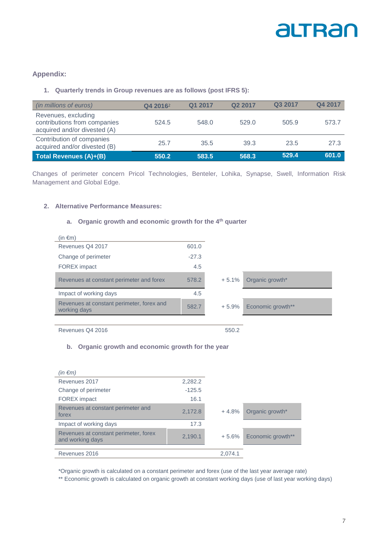

#### **Appendix:**

#### **1. Quarterly trends in Group revenues are as follows (post IFRS 5):**

| (in millions of euros)                                                              | Q4 2016 <sup>2</sup> | Q1 2017 | Q <sub>2</sub> 2017 | Q3 2017 | Q4 2017 |
|-------------------------------------------------------------------------------------|----------------------|---------|---------------------|---------|---------|
| Revenues, excluding<br>contributions from companies<br>acquired and/or divested (A) | 524.5                | 548.0   | 529.0               | 505.9   | 573.7   |
| Contribution of companies<br>acquired and/or divested (B)                           | 25.7                 | 35.5    | 39.3                | 23.5    | 27.3    |
| Total Revenues (A)+(B)                                                              | 550.2                | 583.5   | 568.3               | 529.4   | 601.0   |

Changes of perimeter concern Pricol Technologies, Benteler, Lohika, Synapse, Swell, Information Risk Management and Global Edge.

#### **2. Alternative Performance Measures:**

#### **a. Organic growth and economic growth for the 4th quarter**

| $(in \in m)$                                              |         |         |                   |
|-----------------------------------------------------------|---------|---------|-------------------|
| Revenues Q4 2017                                          | 601.0   |         |                   |
| Change of perimeter                                       | $-27.3$ |         |                   |
| <b>FOREX</b> impact                                       | 4.5     |         |                   |
| Revenues at constant perimeter and forex                  | 578.2   | $+5.1%$ | Organic growth*   |
| Impact of working days                                    | 4.5     |         |                   |
| Revenues at constant perimeter, forex and<br>working days | 582.7   | + 5.9%  | Economic growth** |
|                                                           |         |         |                   |
| Revenues Q4 2016                                          |         | 550.2   |                   |

#### **b. Organic growth and economic growth for the year**

| (in $\epsilon$ m)                                         |          |         |                   |
|-----------------------------------------------------------|----------|---------|-------------------|
| Revenues 2017                                             | 2,282.2  |         |                   |
| Change of perimeter                                       | $-125.5$ |         |                   |
| <b>FOREX</b> impact                                       | 16.1     |         |                   |
| Revenues at constant perimeter and<br>forex               | 2,172.8  | $+4.8%$ | Organic growth*   |
| Impact of working days                                    | 17.3     |         |                   |
| Revenues at constant perimeter, forex<br>and working days | 2,190.1  | $+5.6%$ | Economic growth** |
|                                                           |          |         |                   |
| Revenues 2016                                             |          | 2,074.1 |                   |

\*Organic growth is calculated on a constant perimeter and forex (use of the last year average rate)

\*\* Economic growth is calculated on organic growth at constant working days (use of last year working days)